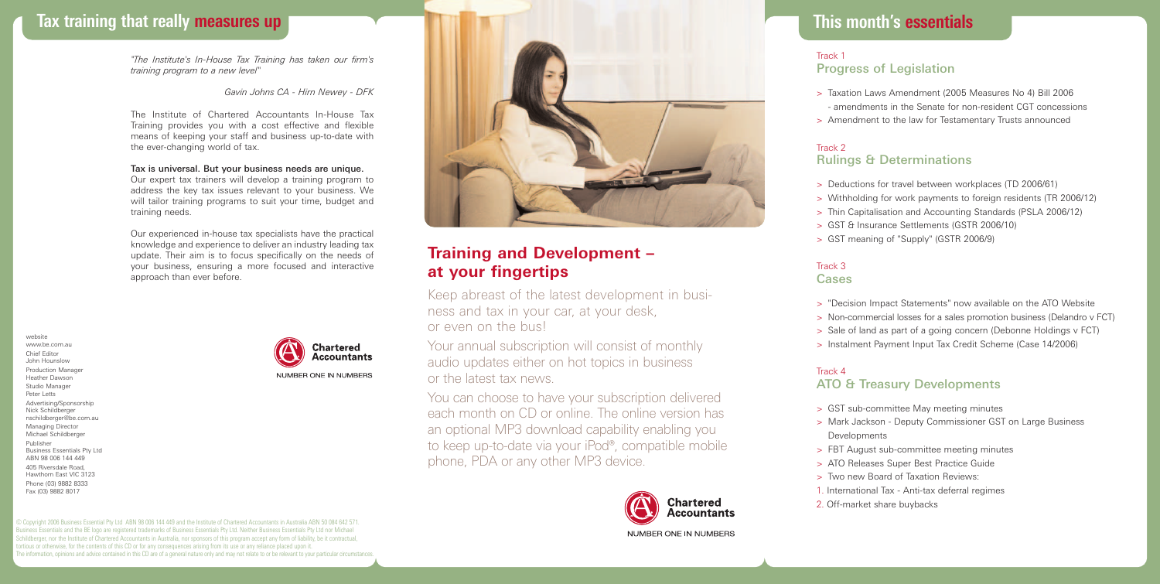# **Tax training that really measures up**

*"The Institute's In-House Tax Training has taken our firm's training program to a new level"*

#### *Gavin Johns CA - Hirn Newey - DFK*

The Institute of Chartered Accountants In-House Tax Training provides you with a cost effective and flexible means of keeping your staff and business up-to-date with the ever-changing world of tax.

## Tax is universal. But your business needs are unique.

Our expert tax trainers will develop a training program to address the key tax issues relevant to your business. We will tailor training programs to suit your time, budget and training needs.

Our experienced in-house tax specialists have the practical knowledge and experience to deliver an industry leading tax update. Their aim is to focus specifically on the needs of your business, ensuring a more focused and interactive approach than ever before.

website www.be.com.au Chief Editor John Hounslow Production Manager Heather Dawson Studio Manager Peter Letts Advertising/Sponsorship Nick Schildberger nschildberger@be.com.au Managing Director Michael Schildberger Publisher Business Essentials Pty Ltd ABN 98 006 144 449 405 Riversdale Road, Hawthorn East VIC 3123 Phone (03) 9882 8333 Fax (03) 9882 8017



© Copyright 2006 Business Essential Pty Ltd ABN 98 006 144 449 and the Institute of Chartered Accountants in Australia ABN 50 084 642 571. Business Essentials and the BE logo are registered trademarks of Business Essentials Pty Ltd. Neither Business Essentials Pty Ltd nor Michael Schildberger, nor the Institute of Chartered Accountants in Australia, nor sponsors of this program accept any form of liability, be it contractual, ortious or otherwise, for the contents of this CD or for any consequences arising from its use or any reliance placed upon it. The information, opinions and advice contained in this CD are of a general nature only and may not relate to or be relevant to your particular circumstances.



# **Training and Development – at your fingertips**

Keep abreast of the latest development in business and tax in your car, at your desk, or even on the bus!

Your annual subscription will consist of monthly audio updates either on hot topics in business or the latest tax news.

You can choose to have your subscription delivered each month on CD or online. The online version has an optional MP3 download capability enabling you to keep up-to-date via your iPod®, compatible mobile phone, PDA or any other MP3 device.



# **This month's essentials**

## **This month's essentials** Track 1 Progress of Legislation

- > Taxation Laws Amendment (2005 Measures No 4) Bill 2006
- amendments in the Senate for non-resident CGT concessions
- > Amendment to the law for Testamentary Trusts announced

## Track 2 Rulings & Determinations

- > Deductions for travel between workplaces (TD 2006/61)
- > Withholding for work payments to foreign residents (TR 2006/12)
- > Thin Capitalisation and Accounting Standards (PSLA 2006/12)
- > GST & Insurance Settlements (GSTR 2006/10)
- > GST meaning of "Supply" (GSTR 2006/9)

#### Track 3 Cases

- > "Decision Impact Statements" now available on the ATO Website
- > Non-commercial losses for a sales promotion business (Delandro v FCT)
- > Sale of land as part of a going concern (Debonne Holdings v FCT)
- > Instalment Payment Input Tax Credit Scheme (Case 14/2006)

## Track 4

# ATO & Treasury Developments

- > GST sub-committee May meeting minutes
- > Mark Jackson Deputy Commissioner GST on Large Business Developments
- > FBT August sub-committee meeting minutes
- > ATO Releases Super Best Practice Guide
- > Two new Board of Taxation Reviews:
- 1. International Tax Anti-tax deferral regimes
- 2. Off-market share buybacks